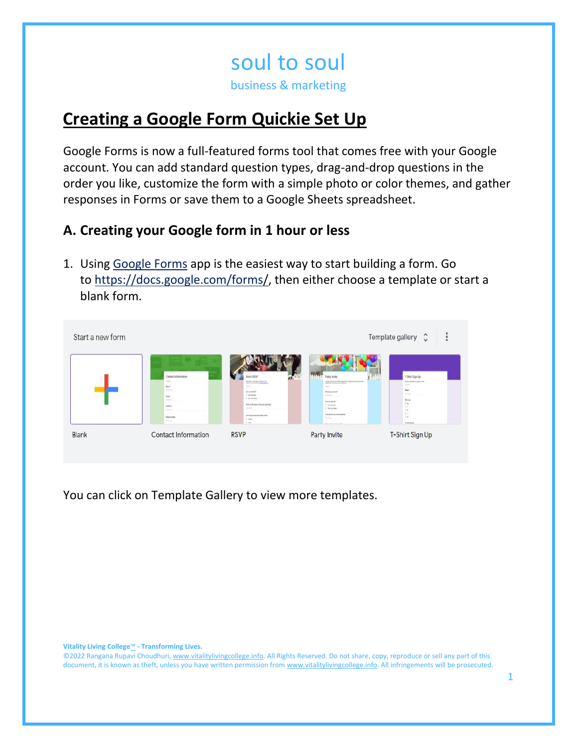# **Creating a Google Form Quickie Set Up**

Google Forms is now a full-featured forms tool that comes free with your Google account. You can add standard question types, drag-and-drop questions in the order you like, customize the form with a simple photo or color themes, and gather responses in Forms or save them to a Google Sheets spreadsheet.

# **A. Creating your Google form in 1 hour or less**

1. Using [Google Forms](about:blank) app is the easiest way to start building a form. Go to [https://docs.google.com/forms/,](about:blank) then either choose a template or start a blank form.

| Contact information<br>$\frac{1}{2} \left( \frac{1}{2} \right) \left( \frac{1}{2} \right)$ | <b>Vent RIVIT</b>                                                 | m<br>[01]<br>Party Invite                                               | T-Start Sign Up                                                                                                             |
|--------------------------------------------------------------------------------------------|-------------------------------------------------------------------|-------------------------------------------------------------------------|-----------------------------------------------------------------------------------------------------------------------------|
| State 1                                                                                    | <b>Studier Tree berieve A F DK</b><br><b>County</b>               | the first of the state of the product with a state of the state of<br>- | three designs applied to:<br>$\frac{1}{2} \left( \frac{1}{2} \right) \left( \frac{1}{2} \right) \left( \frac{1}{2} \right)$ |
| <b>Service</b>                                                                             | Ter are sized?<br>I to three.                                     | the kers sen?<br>torning in                                             | tate <sup>1</sup><br><b>START</b>                                                                                           |
| Engl+<br>Maddale                                                                           | C ten rentact                                                     | hy unu eta on                                                           | <b>SHAM</b>                                                                                                                 |
| Aldola                                                                                     | Rival are for summer of perspectively color-string<br><b>NEWS</b> | 1. As Abrient<br>Il fericial tenti                                      | 2.6<br>$\cdots$                                                                                                             |
| $-10.000$                                                                                  |                                                                   | <b>THE RANG PT ALL AND ARRANGEMENT</b>                                  | $-1.6$<br>$\pm 1$                                                                                                           |
| <b>Data come</b>                                                                           | the digital last should be easily<br>$\equiv$ <i>likely</i>       | to the                                                                  | 16.46                                                                                                                       |
| <b>Contract</b>                                                                            | 1 April                                                           | <b>But All Contracts</b>                                                | <b>FOUR PROPERTY</b>                                                                                                        |

You can click on Template Gallery to view more templates.

**Vitality Living College**™ **- Transforming Lives.**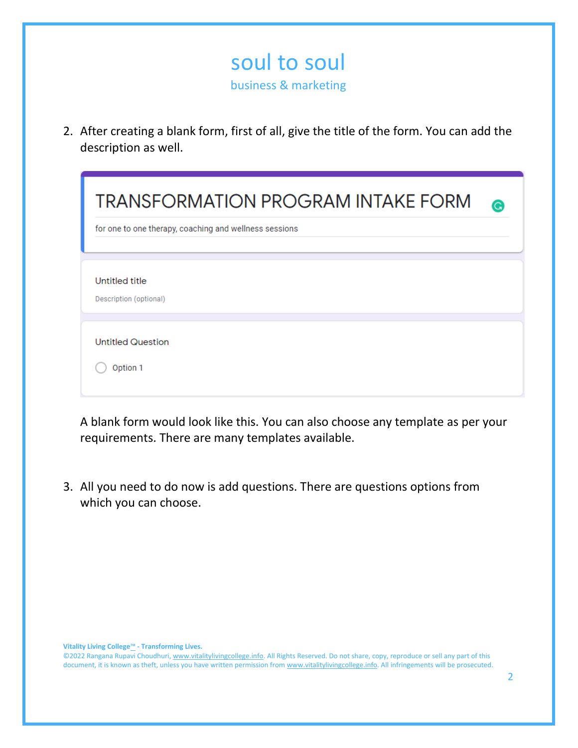2. After creating a blank form, first of all, give the title of the form. You can add the description as well.

| <b>TRANSFORMATION PROGRAM INTAKE FORM</b><br>for one to one therapy, coaching and wellness sessions | G |
|-----------------------------------------------------------------------------------------------------|---|
| Untitled title<br>Description (optional)                                                            |   |
| <b>Untitled Question</b><br>Option 1                                                                |   |

A blank form would look like this. You can also choose any template as per your requirements. There are many templates available.

3. All you need to do now is add questions. There are questions options from which you can choose.

**Vitality Living College**™ **- Transforming Lives.**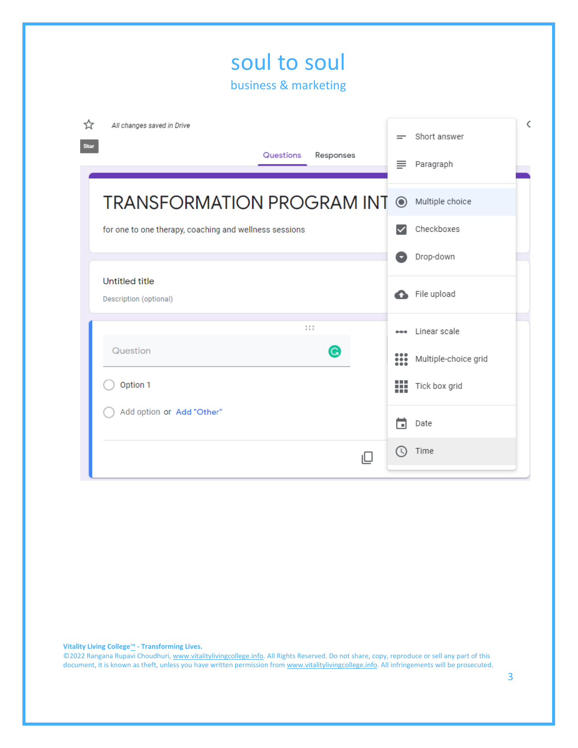| soul to soul<br>business & marketing                                     |    |              |                                      |
|--------------------------------------------------------------------------|----|--------------|--------------------------------------|
| ☆<br>All changes saved in Drive<br><b>Star</b><br>Questions<br>Responses |    | ≡            | Short answer<br>Paragraph            |
| <b>TRANSFORMATION PROGRAM INT @ Multiple choice</b>                      |    |              |                                      |
| for one to one therapy, coaching and wellness sessions                   |    | $\checkmark$ | Checkboxes<br>Drop-down              |
| <b>Untitled title</b><br>Description (optional)                          |    | Л            | File upload                          |
| $\frac{0}{0}$ = $\frac{0}{0}$ = $\frac{0}{0}$<br>Question<br>G           |    | ः            | Linear scale<br>Multiple-choice grid |
| Option 1                                                                 |    | ш            | Tick box grid                        |
| Add option or Add "Other"                                                |    | □            | Date                                 |
|                                                                          | ıП | ( C)         | Time                                 |

**Vitality Living College**™ **- Transforming Lives.**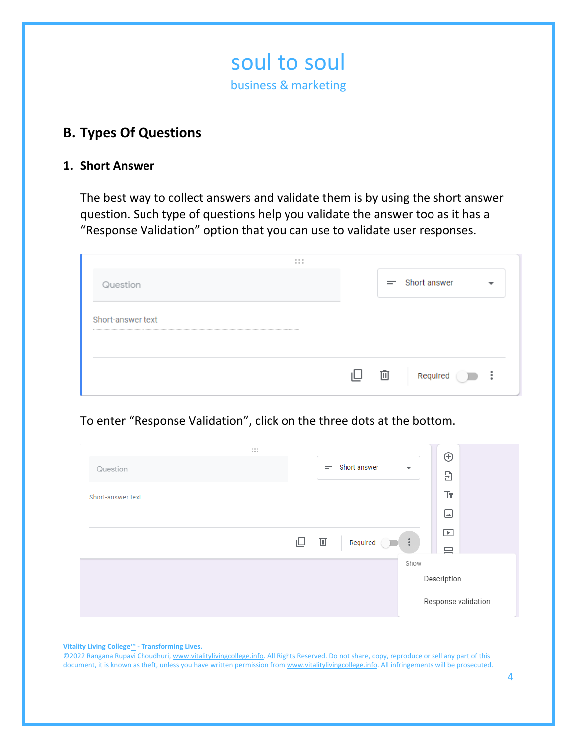

# **B. Types Of Questions**

#### **1. Short Answer**

The best way to collect answers and validate them is by using the short answer question. Such type of questions help you validate the answer too as it has a "Response Validation" option that you can use to validate user responses.

| 0.0.0<br>0.0.0    |   |                       |                          |
|-------------------|---|-----------------------|--------------------------|
| Question          |   | $=$ Short answer      | $\overline{\phantom{a}}$ |
| Short-answer text |   |                       |                          |
|                   |   |                       |                          |
|                   | 面 | Required <sub>2</sub> | $\ddot{\cdot}$           |

## To enter "Response Validation", click on the three dots at the bottom.

| 1.11              |   |     |              |                          | $\oplus$                      |
|-------------------|---|-----|--------------|--------------------------|-------------------------------|
| Question          |   | $=$ | Short answer | $\overline{\phantom{a}}$ | Э                             |
|                   |   |     |              |                          |                               |
| Short-answer text |   |     |              |                          | Tт                            |
|                   |   |     |              |                          | $\Box$                        |
|                   |   |     |              |                          | $\boxed{\blacktriangleright}$ |
|                   | ⊍ | 画   | Required     | ÷                        | ≘                             |
|                   |   |     |              | Show                     |                               |
|                   |   |     |              |                          | Description                   |
|                   |   |     |              |                          | Response validation           |

**Vitality Living College**™ **- Transforming Lives.**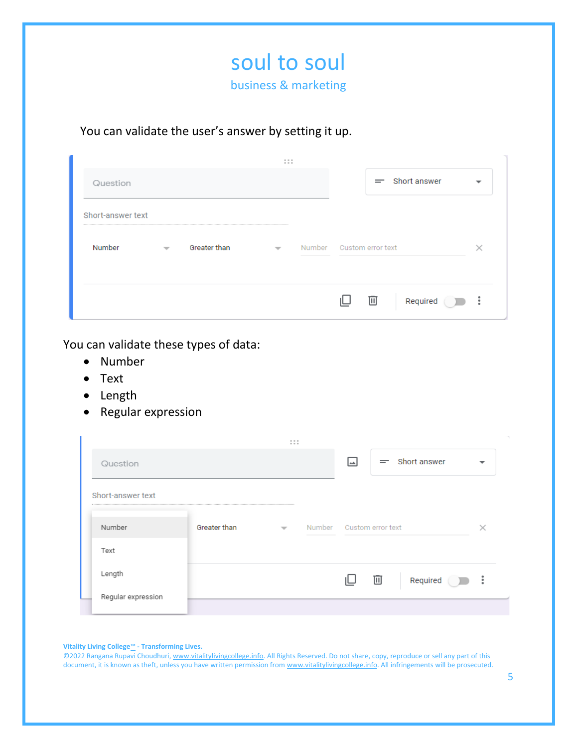

## You can validate the user's answer by setting it up.

|                   |                          |              | 0.0.0<br>0.0.0 |                          |   |                  |                |
|-------------------|--------------------------|--------------|----------------|--------------------------|---|------------------|----------------|
| Question          |                          |              |                |                          |   | $=$ Short answer |                |
| Short-answer text |                          |              |                |                          |   |                  |                |
| Number            | $\overline{\phantom{m}}$ | Greater than | $\mathbf{v}$   | Number Custom error text |   |                  |                |
|                   |                          |              |                |                          | 画 | Required         | $\ddot{\cdot}$ |

You can validate these types of data:

- Number
- Text
- Length
- Regular expression

|                    |              | 111                      |                          |    |                  |                          |
|--------------------|--------------|--------------------------|--------------------------|----|------------------|--------------------------|
| Question           |              |                          | احدا                     |    | $=$ Short answer | $\overline{\phantom{a}}$ |
| Short-answer text  |              |                          |                          |    |                  |                          |
| Number             | Greater than | $\overline{\phantom{a}}$ | Number Custom error text |    |                  |                          |
| Text               |              |                          |                          |    |                  |                          |
| Length             |              |                          |                          | 一面 | Required         | $\ddot{\cdot}$           |
| Regular expression |              |                          |                          |    |                  |                          |

**Vitality Living College**™ **- Transforming Lives.**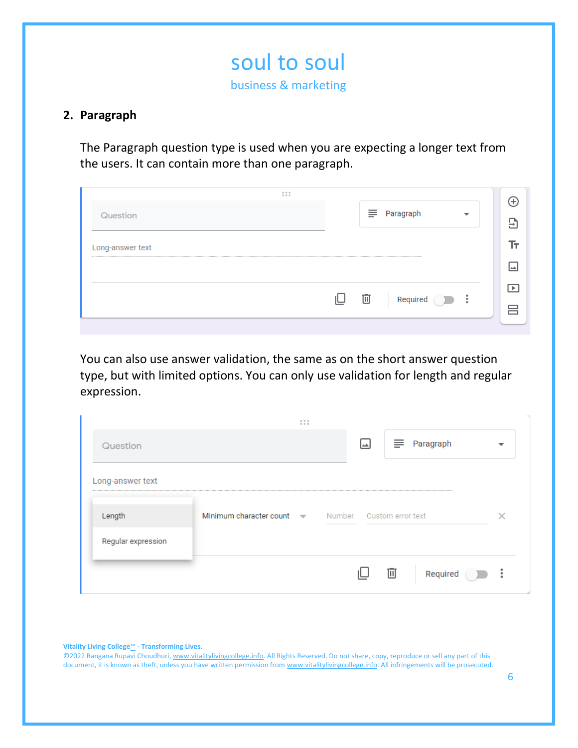## **2. Paragraph**

The Paragraph question type is used when you are expecting a longer text from the users. It can contain more than one paragraph.

| 1.1.1<br>Question |       |     | $\equiv$ Paragraph | ᠊ |  |
|-------------------|-------|-----|--------------------|---|--|
| Long-answer text  |       |     |                    |   |  |
|                   |       |     |                    |   |  |
|                   | II. I | 一面一 |                    |   |  |

You can also use answer validation, the same as on the short answer question type, but with limited options. You can only use validation for length and regular expression.

|                    | 0.0.0<br>0.0.0                                          |               |     |
|--------------------|---------------------------------------------------------|---------------|-----|
| Question           |                                                         | ≡ Paragraph   |     |
| Long-answer text   |                                                         |               |     |
| Length             | Minimum character count volume Number Custom error text |               |     |
| Regular expression |                                                         |               |     |
|                    |                                                         | 画<br>Required | - 3 |

**Vitality Living College**™ **- Transforming Lives.**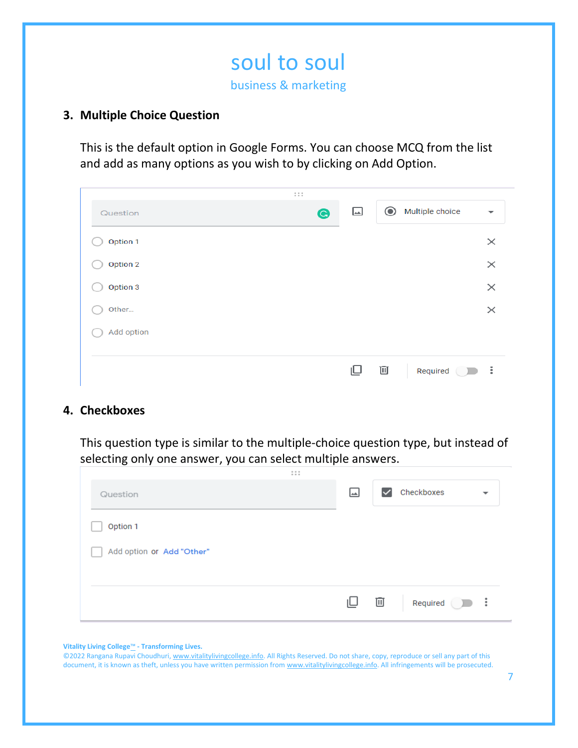## **3. Multiple Choice Question**

This is the default option in Google Forms. You can choose MCQ from the list and add as many options as you wish to by clicking on Add Option.

|            | 1.11      |                                                                                    |
|------------|-----------|------------------------------------------------------------------------------------|
| Question   | $\bullet$ | Multiple choice<br>$\odot$<br>$\overline{\phantom{a}}$<br>$\overline{\phantom{a}}$ |
| Option 1   |           | $\times$                                                                           |
| Option 2   |           | $\times$                                                                           |
| Option 3   |           | $\times$                                                                           |
| Other      |           | $\times$                                                                           |
| Add option |           |                                                                                    |
|            |           |                                                                                    |
|            |           | 画<br>$\frac{1}{2}$<br>ப<br>Required <sup>1</sup>                                   |

#### **4. Checkboxes**

This question type is similar to the multiple-choice question type, but instead of selecting only one answer, you can select multiple answers.

| $\begin{array}{ccccc} 0 & 0 & 0 \\ 0 & 0 & 0 \end{array}$ |    |              |                            |   |
|-----------------------------------------------------------|----|--------------|----------------------------|---|
| Question                                                  | ها | $\checkmark$ | Checkboxes                 | ▼ |
| Option 1                                                  |    |              |                            |   |
| Add option or Add "Other"                                 |    |              |                            |   |
|                                                           |    |              |                            |   |
|                                                           | ⊍  | 画            | Required $\qquad \qquad$ : |   |

#### **Vitality Living College**™ **- Transforming Lives.**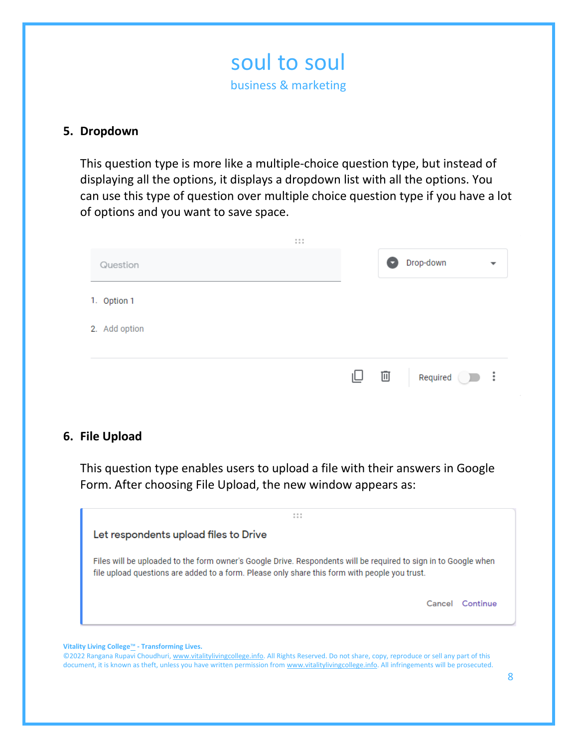

### **5. Dropdown**

This question type is more like a multiple-choice question type, but instead of displaying all the options, it displays a dropdown list with all the options. You can use this type of question over multiple choice question type if you have a lot of options and you want to save space.

|               | 1.1.1 |                  |                       |   |
|---------------|-------|------------------|-----------------------|---|
| Question      |       | o                | Drop-down             | ᅮ |
| 1. Option 1   |       |                  |                       |   |
| 2. Add option |       |                  |                       |   |
|               |       |                  |                       |   |
|               |       | $\Box$ on $\Box$ | Required $\bigcirc$ : |   |

#### **6. File Upload**

This question type enables users to upload a file with their answers in Google Form. After choosing File Upload, the new window appears as:



**Vitality Living College**™ **- Transforming Lives.**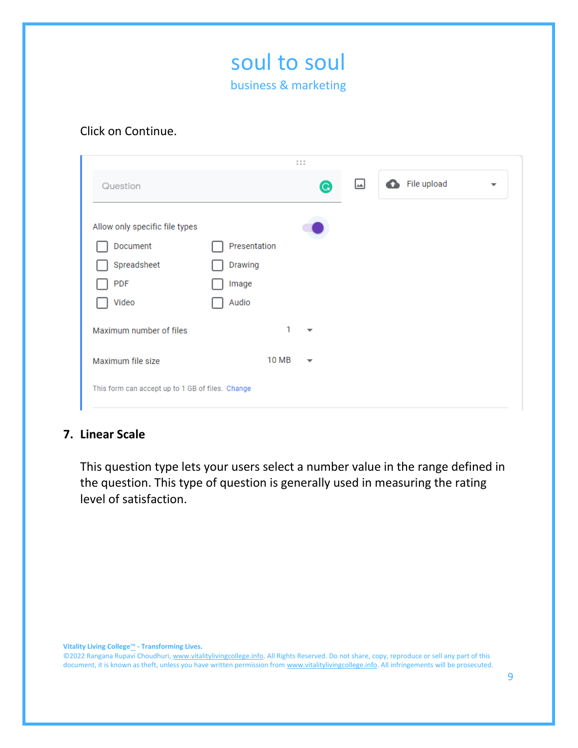

#### Click on Continue.

|                                                  |              | $\begin{array}{ccccc} 0 & 0 & 0 \\ 0 & 0 & 0 \end{array}$ |   |             |                          |
|--------------------------------------------------|--------------|-----------------------------------------------------------|---|-------------|--------------------------|
| Question                                         |              | G                                                         | ك | File upload | $\overline{\phantom{a}}$ |
| Allow only specific file types                   |              |                                                           |   |             |                          |
| Document                                         | Presentation |                                                           |   |             |                          |
| Spreadsheet                                      | Drawing      |                                                           |   |             |                          |
| PDF                                              | Image        |                                                           |   |             |                          |
| Video                                            | Audio        |                                                           |   |             |                          |
| Maximum number of files                          | 1            | $\overline{\phantom{a}}$                                  |   |             |                          |
| Maximum file size                                | 10 MB        | $\overline{\phantom{a}}$                                  |   |             |                          |
| This form can accept up to 1 GB of files. Change |              |                                                           |   |             |                          |
|                                                  |              |                                                           |   |             |                          |

## **7. Linear Scale**

This question type lets your users select a number value in the range defined in the question. This type of question is generally used in measuring the rating level of satisfaction.

**Vitality Living College**™ **- Transforming Lives.**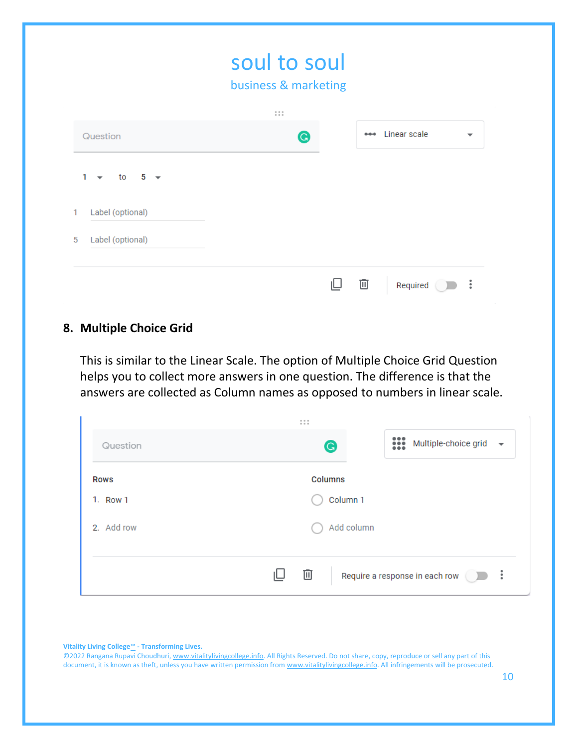| business & marketing                                    |                                                     |
|---------------------------------------------------------|-----------------------------------------------------|
| $\begin{array}{ccc} 0 & 0 & 0 \\ 0 & 0 & 0 \end{array}$ |                                                     |
| G                                                       | Linear scale<br>$- - -$<br>$\overline{\phantom{a}}$ |
|                                                         |                                                     |
|                                                         |                                                     |
|                                                         |                                                     |

#### **8. Multiple Choice Grid**

This is similar to the Linear Scale. The option of Multiple Choice Grid Question helps you to collect more answers in one question. The difference is that the answers are collected as Column names as opposed to numbers in linear scale.

|             | 1.1.1                                              |
|-------------|----------------------------------------------------|
| Question    | ः<br>Multiple-choice grid $\bullet$<br>$\mathbf G$ |
| <b>Rows</b> | <b>Columns</b>                                     |
| 1. Row 1    | Column 1                                           |
| 2. Add row  | Add column                                         |
|             |                                                    |
|             | 画<br>- 3<br>Require a response in each row         |

**Vitality Living College**™ **- Transforming Lives.**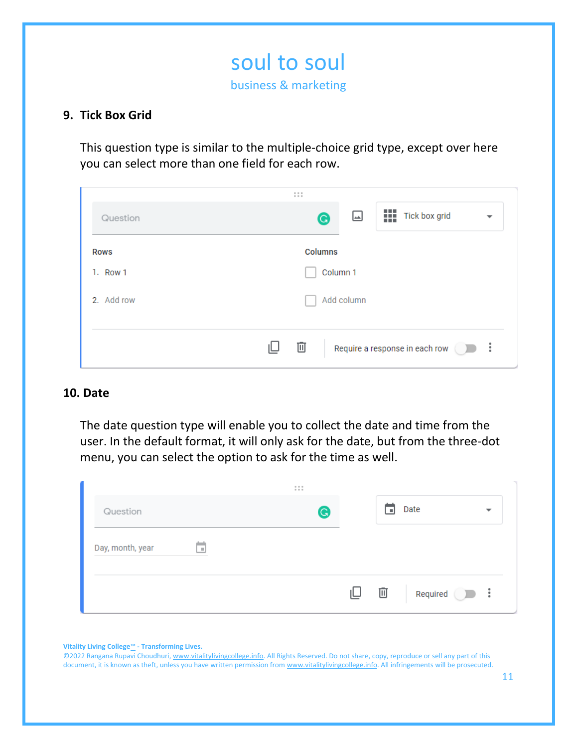## **9. Tick Box Grid**

This question type is similar to the multiple-choice grid type, except over here you can select more than one field for each row.

| $\begin{array}{cccccccccc} 0 & 0 & 0 & 0 \\ 0 & 0 & 0 & 0 \end{array}$ |
|------------------------------------------------------------------------|
| 嶊<br>Tick box grid<br>كا<br>G<br>$\overline{\phantom{a}}$              |
| <b>Columns</b>                                                         |
| Column 1                                                               |
| Add column                                                             |
|                                                                        |
| 画<br>÷<br>Require a response in each row<br>- 11                       |
|                                                                        |

#### **10. Date**

The date question type will enable you to collect the date and time from the user. In the default format, it will only ask for the date, but from the three-dot menu, you can select the option to ask for the time as well.

|                  |      | 1.1.1       |      |      |                                  |
|------------------|------|-------------|------|------|----------------------------------|
| Question         |      | $\mathbf G$ |      | l =l | Date<br>$\overline{\phantom{a}}$ |
| Day, month, year | -a j |             |      |      |                                  |
|                  |      |             | IU – | 画    | Required $\bigcirc$ :            |

**Vitality Living College**™ **- Transforming Lives.**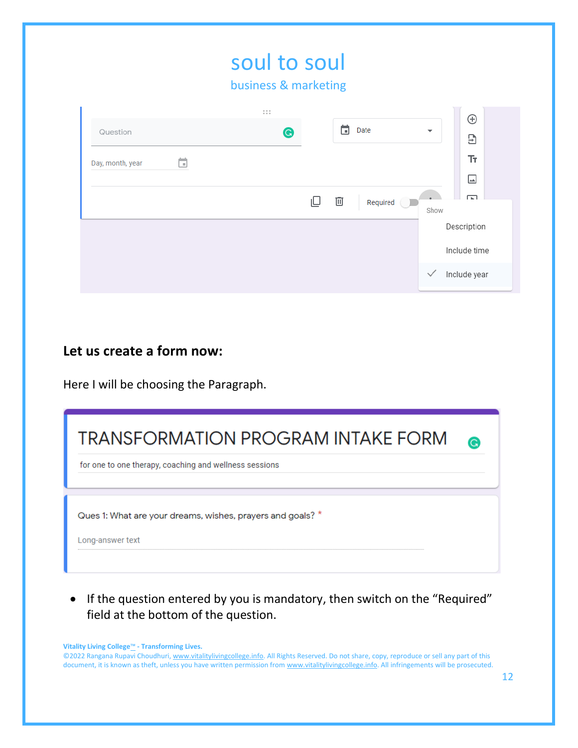|                  |   | soul to soul<br>business & marketing                            |                 |                          |                             |
|------------------|---|-----------------------------------------------------------------|-----------------|--------------------------|-----------------------------|
| Question         |   | $\begin{smallmatrix}0&0&0\\0&0&0\end{smallmatrix}$<br>$\bullet$ | 茼<br>Date       | $\overline{\phantom{0}}$ | $\oplus$<br>Э               |
| Day, month, year | ö |                                                                 |                 |                          | Tr.<br>⊡                    |
|                  |   | ⊫                                                               | 画<br>Required ( | Show                     | ╔                           |
|                  |   |                                                                 |                 |                          | Description<br>Include time |
|                  |   |                                                                 |                 | $\checkmark$             | Include year                |

# **Let us create a form now:**

Here I will be choosing the Paragraph.

| <b>TRANSFORMATION PROGRAM INTAKE FORM</b><br>for one to one therapy, coaching and wellness sessions |  |
|-----------------------------------------------------------------------------------------------------|--|
| Ques 1: What are your dreams, wishes, prayers and goals? *<br>Long-answer text                      |  |

• If the question entered by you is mandatory, then switch on the "Required" field at the bottom of the question.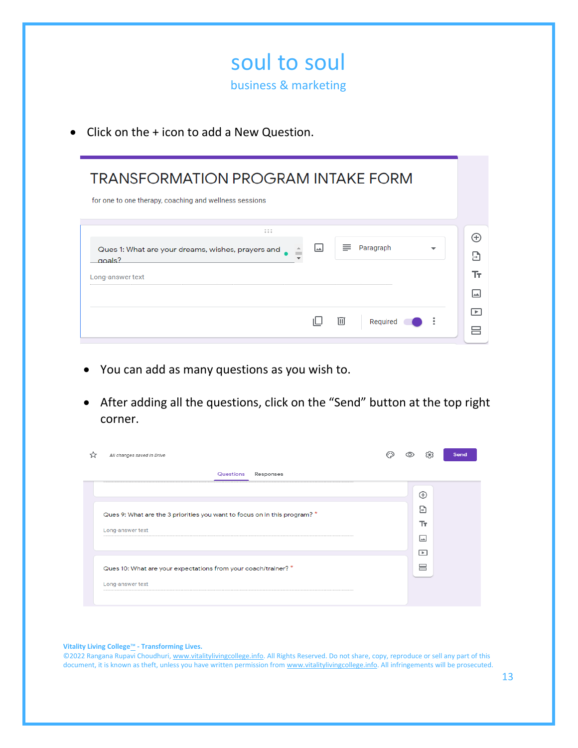|           | soul to soul<br>business & marketing                                                                             |                      |
|-----------|------------------------------------------------------------------------------------------------------------------|----------------------|
| $\bullet$ | Click on the + icon to add a New Question.                                                                       |                      |
|           | <b>TRANSFORMATION PROGRAM INTAKE FORM</b><br>for one to one therapy, coaching and wellness sessions              |                      |
|           | 1.11<br>⊡<br>≡<br>Paragraph<br>Ques 1: What are your dreams, wishes, prayers and<br>$n$ als?<br>Long-answer text | A)<br>Э<br>Ŧт<br>∣୷∣ |
|           | Ⅲ<br>Required                                                                                                    | ஈ<br>吕               |

- You can add as many questions as you wish to.
- After adding all the questions, click on the "Send" button at the top right corner.

| All changes saved in Drive                                                | یو)      | Send |
|---------------------------------------------------------------------------|----------|------|
| Questions<br>Responses                                                    |          |      |
|                                                                           | $\oplus$ |      |
| Ques 9: What are the 3 priorities you want to focus on in this program? * | Э        |      |
| Long-answer text                                                          | Tr.      |      |
|                                                                           | ⊡        |      |
|                                                                           | $\Box$   |      |
| Ques 10: What are your expectations from your coach/trainer? *            | 吕        |      |
| Long-answer text                                                          |          |      |
|                                                                           |          |      |

**Vitality Living College**™ **- Transforming Lives.**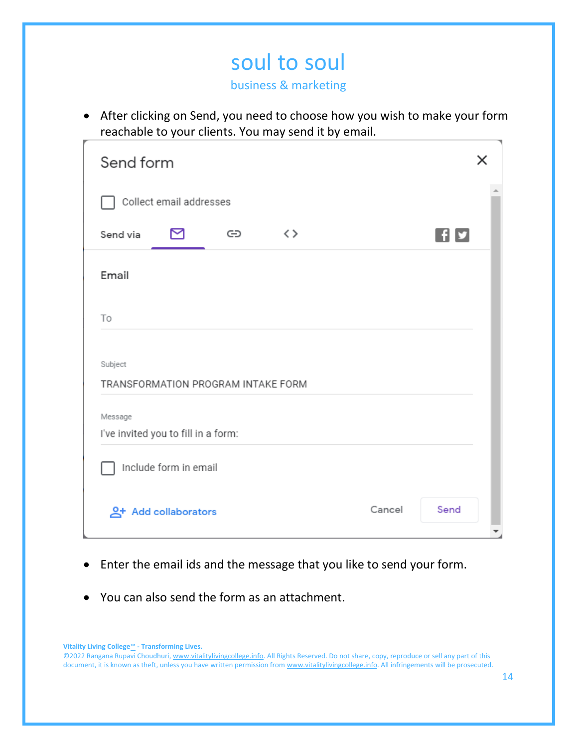# soul to soul

business & marketing

• After clicking on Send, you need to choose how you wish to make your form reachable to your clients. You may send it by email.

| Send form                                      | x              |
|------------------------------------------------|----------------|
| Collect email addresses                        |                |
| $\langle \ \rangle$<br>⊠<br>GD<br>Send via     | n              |
| Email                                          |                |
| To                                             |                |
| Subject<br>TRANSFORMATION PROGRAM INTAKE FORM  |                |
| Message<br>I've invited you to fill in a form: |                |
| Include form in email                          |                |
| <u>A</u> + Add collaborators                   | Send<br>Cancel |

- Enter the email ids and the message that you like to send your form.
- You can also send the form as an attachment.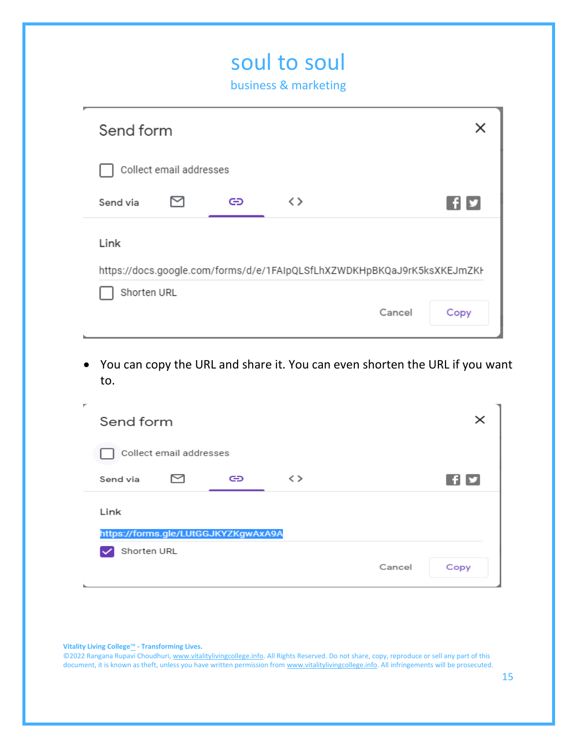# soul to soul business & marketing  $\times$ Send form Collect email addresses 罓  $F$ Send via ⊕  $\langle \rangle$ Link https://docs.google.com/forms/d/e/1FAIpQLSfLhXZWDKHpBKQaJ9rK5ksXKEJmZKI Shorten URL Cancel Copy

• You can copy the URL and share it. You can even shorten the URL if you want to.

| ۳ | Send form   |                                     |    |                     |        | $\times$ |
|---|-------------|-------------------------------------|----|---------------------|--------|----------|
|   |             | Collect email addresses             |    |                     |        |          |
|   | Send via    |                                     | GĐ | $\langle$ $\rangle$ |        | I fi y   |
|   | Link        |                                     |    |                     |        |          |
|   |             | https://forms.gle/LUtGGJKYZKgwAxA9A |    |                     |        |          |
|   | Shorten URL |                                     |    |                     |        |          |
|   |             |                                     |    |                     | Cancel | Copy     |

**Vitality Living College**™ **- Transforming Lives.**